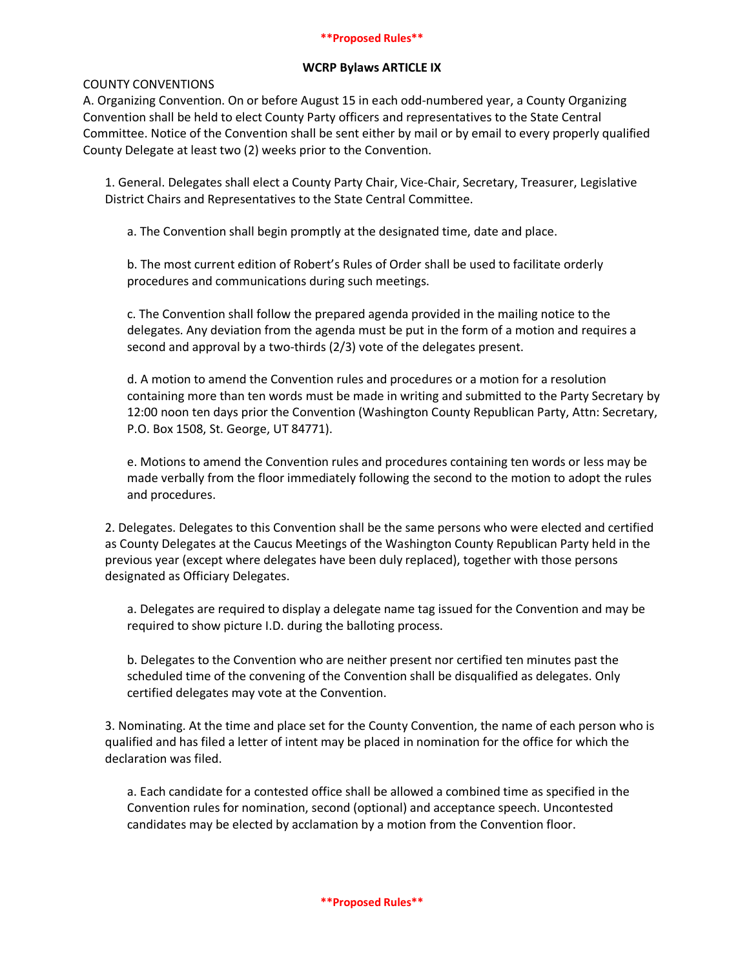## **\*\*Proposed Rules\*\***

## **WCRP Bylaws ARTICLE IX**

# COUNTY CONVENTIONS

A. Organizing Convention. On or before August 15 in each odd-numbered year, a County Organizing Convention shall be held to elect County Party officers and representatives to the State Central Committee. Notice of the Convention shall be sent either by mail or by email to every properly qualified County Delegate at least two (2) weeks prior to the Convention.

1. General. Delegates shall elect a County Party Chair, Vice-Chair, Secretary, Treasurer, Legislative District Chairs and Representatives to the State Central Committee.

a. The Convention shall begin promptly at the designated time, date and place.

b. The most current edition of Robert's Rules of Order shall be used to facilitate orderly procedures and communications during such meetings.

c. The Convention shall follow the prepared agenda provided in the mailing notice to the delegates. Any deviation from the agenda must be put in the form of a motion and requires a second and approval by a two-thirds (2/3) vote of the delegates present.

d. A motion to amend the Convention rules and procedures or a motion for a resolution containing more than ten words must be made in writing and submitted to the Party Secretary by 12:00 noon ten days prior the Convention (Washington County Republican Party, Attn: Secretary, P.O. Box 1508, St. George, UT 84771).

e. Motions to amend the Convention rules and procedures containing ten words or less may be made verbally from the floor immediately following the second to the motion to adopt the rules and procedures.

2. Delegates. Delegates to this Convention shall be the same persons who were elected and certified as County Delegates at the Caucus Meetings of the Washington County Republican Party held in the previous year (except where delegates have been duly replaced), together with those persons designated as Officiary Delegates.

a. Delegates are required to display a delegate name tag issued for the Convention and may be required to show picture I.D. during the balloting process.

b. Delegates to the Convention who are neither present nor certified ten minutes past the scheduled time of the convening of the Convention shall be disqualified as delegates. Only certified delegates may vote at the Convention.

3. Nominating. At the time and place set for the County Convention, the name of each person who is qualified and has filed a letter of intent may be placed in nomination for the office for which the declaration was filed.

a. Each candidate for a contested office shall be allowed a combined time as specified in the Convention rules for nomination, second (optional) and acceptance speech. Uncontested candidates may be elected by acclamation by a motion from the Convention floor.

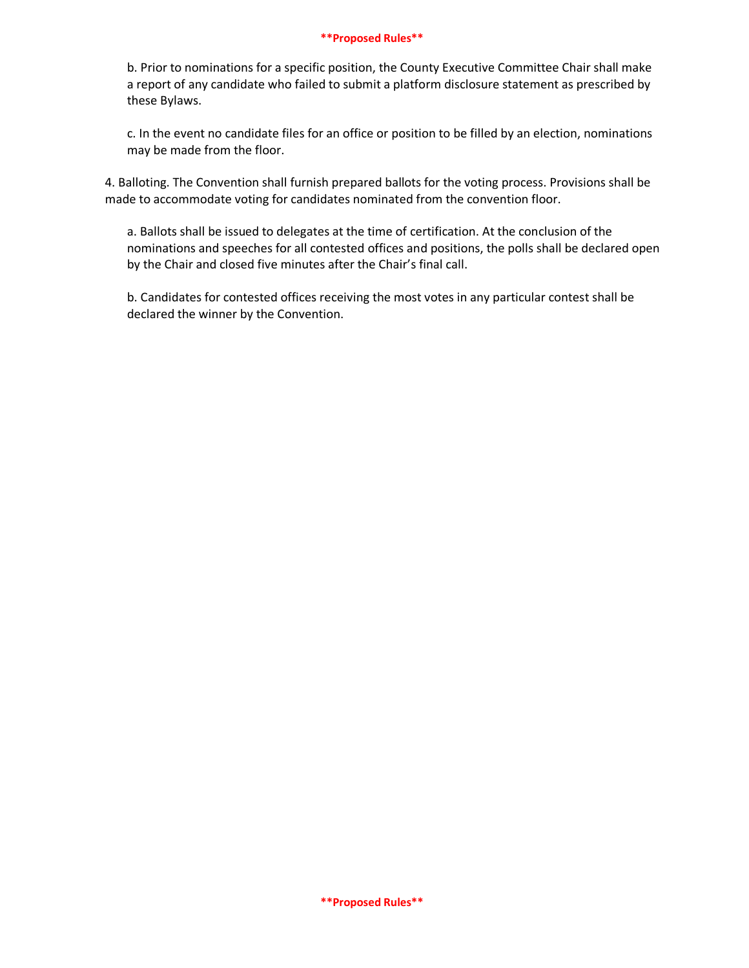## **\*\*Proposed Rules\*\***

b. Prior to nominations for a specific position, the County Executive Committee Chair shall make a report of any candidate who failed to submit a platform disclosure statement as prescribed by these Bylaws.

c. In the event no candidate files for an office or position to be filled by an election, nominations may be made from the floor.

4. Balloting. The Convention shall furnish prepared ballots for the voting process. Provisions shall be made to accommodate voting for candidates nominated from the convention floor.

a. Ballots shall be issued to delegates at the time of certification. At the conclusion of the nominations and speeches for all contested offices and positions, the polls shall be declared open by the Chair and closed five minutes after the Chair's final call.

b. Candidates for contested offices receiving the most votes in any particular contest shall be declared the winner by the Convention.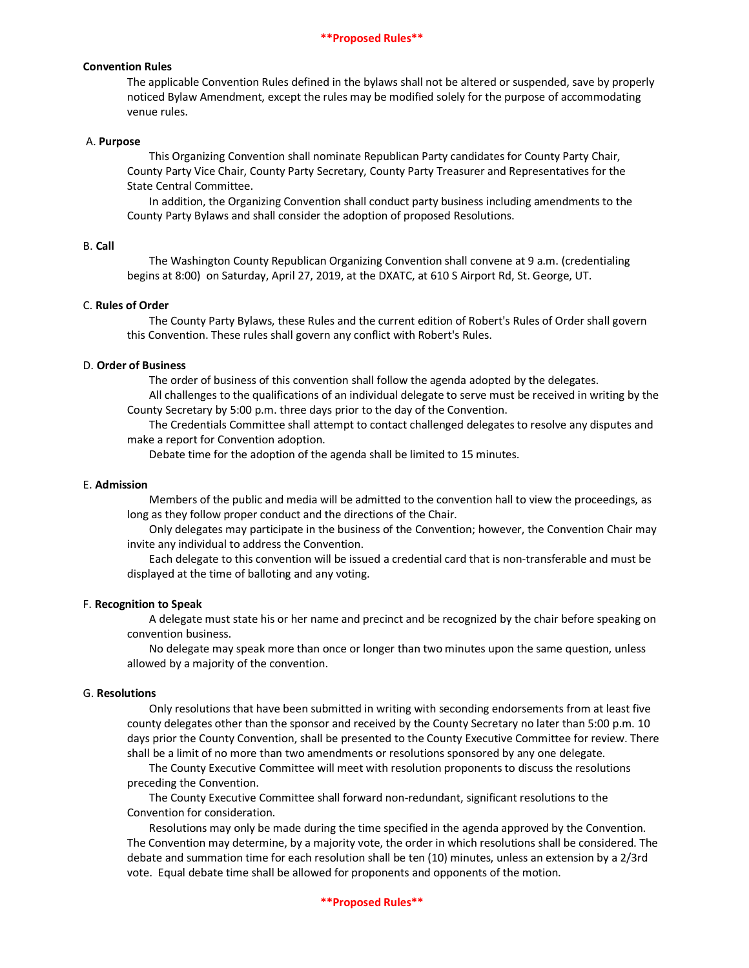## **Convention Rules**

The applicable Convention Rules defined in the bylaws shall not be altered or suspended, save by properly noticed Bylaw Amendment, except the rules may be modified solely for the purpose of accommodating venue rules.

#### A. **Purpose**

This Organizing Convention shall nominate Republican Party candidates for County Party Chair, County Party Vice Chair, County Party Secretary, County Party Treasurer and Representatives for the State Central Committee.

In addition, the Organizing Convention shall conduct party business including amendments to the County Party Bylaws and shall consider the adoption of proposed Resolutions.

## B. **Call**

The Washington County Republican Organizing Convention shall convene at 9 a.m. (credentialing begins at 8:00) on Saturday, April 27, 2019, at the DXATC, at 610 S Airport Rd, St. George, UT.

#### C. **Rules of Order**

The County Party Bylaws, these Rules and the current edition of Robert's Rules of Order shall govern this Convention. These rules shall govern any conflict with Robert's Rules.

#### D. **Order of Business**

The order of business of this convention shall follow the agenda adopted by the delegates.

All challenges to the qualifications of an individual delegate to serve must be received in writing by the County Secretary by 5:00 p.m. three days prior to the day of the Convention.

The Credentials Committee shall attempt to contact challenged delegates to resolve any disputes and make a report for Convention adoption.

Debate time for the adoption of the agenda shall be limited to 15 minutes.

## E. **Admission**

Members of the public and media will be admitted to the convention hall to view the proceedings, as long as they follow proper conduct and the directions of the Chair.

Only delegates may participate in the business of the Convention; however, the Convention Chair may invite any individual to address the Convention.

Each delegate to this convention will be issued a credential card that is non-transferable and must be displayed at the time of balloting and any voting.

#### F. **Recognition to Speak**

A delegate must state his or her name and precinct and be recognized by the chair before speaking on convention business.

No delegate may speak more than once or longer than two minutes upon the same question, unless allowed by a majority of the convention.

#### G. **Resolutions**

Only resolutions that have been submitted in writing with seconding endorsements from at least five county delegates other than the sponsor and received by the County Secretary no later than 5:00 p.m. 10 days prior the County Convention, shall be presented to the County Executive Committee for review. There shall be a limit of no more than two amendments or resolutions sponsored by any one delegate.

The County Executive Committee will meet with resolution proponents to discuss the resolutions preceding the Convention.

The County Executive Committee shall forward non-redundant, significant resolutions to the Convention for consideration.

Resolutions may only be made during the time specified in the agenda approved by the Convention. The Convention may determine, by a majority vote, the order in which resolutions shall be considered. The debate and summation time for each resolution shall be ten (10) minutes, unless an extension by a 2/3rd vote. Equal debate time shall be allowed for proponents and opponents of the motion.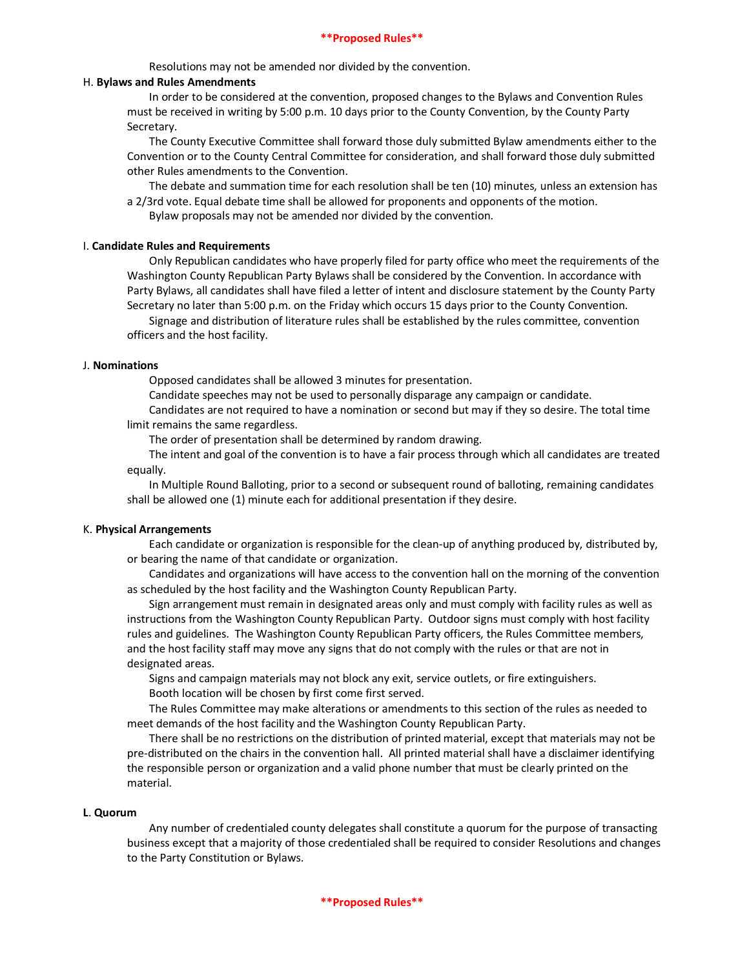Resolutions may not be amended nor divided by the convention.

#### H. **Bylaws and Rules Amendments**

In order to be considered at the convention, proposed changes to the Bylaws and Convention Rules must be received in writing by 5:00 p.m. 10 days prior to the County Convention, by the County Party Secretary.

The County Executive Committee shall forward those duly submitted Bylaw amendments either to the Convention or to the County Central Committee for consideration, and shall forward those duly submitted other Rules amendments to the Convention.

The debate and summation time for each resolution shall be ten (10) minutes, unless an extension has a 2/3rd vote. Equal debate time shall be allowed for proponents and opponents of the motion. Bylaw proposals may not be amended nor divided by the convention.

#### I. **Candidate Rules and Requirements**

Only Republican candidates who have properly filed for party office who meet the requirements of the Washington County Republican Party Bylaws shall be considered by the Convention. In accordance with Party Bylaws, all candidates shall have filed a letter of intent and disclosure statement by the County Party Secretary no later than 5:00 p.m. on the Friday which occurs 15 days prior to the County Convention.

Signage and distribution of literature rules shall be established by the rules committee, convention officers and the host facility.

#### J. **Nominations**

Opposed candidates shall be allowed 3 minutes for presentation.

Candidate speeches may not be used to personally disparage any campaign or candidate.

Candidates are not required to have a nomination or second but may if they so desire. The total time limit remains the same regardless.

The order of presentation shall be determined by random drawing.

The intent and goal of the convention is to have a fair process through which all candidates are treated equally.

In Multiple Round Balloting, prior to a second or subsequent round of balloting, remaining candidates shall be allowed one (1) minute each for additional presentation if they desire.

#### K. **Physical Arrangements**

Each candidate or organization is responsible for the clean-up of anything produced by, distributed by, or bearing the name of that candidate or organization.

Candidates and organizations will have access to the convention hall on the morning of the convention as scheduled by the host facility and the Washington County Republican Party.

Sign arrangement must remain in designated areas only and must comply with facility rules as well as instructions from the Washington County Republican Party. Outdoor signs must comply with host facility rules and guidelines. The Washington County Republican Party officers, the Rules Committee members, and the host facility staff may move any signs that do not comply with the rules or that are not in designated areas.

Signs and campaign materials may not block any exit, service outlets, or fire extinguishers. Booth location will be chosen by first come first served.

The Rules Committee may make alterations or amendments to this section of the rules as needed to meet demands of the host facility and the Washington County Republican Party.

There shall be no restrictions on the distribution of printed material, except that materials may not be pre-distributed on the chairs in the convention hall. All printed material shall have a disclaimer identifying the responsible person or organization and a valid phone number that must be clearly printed on the material.

#### **L**. **Quorum**

Any number of credentialed county delegates shall constitute a quorum for the purpose of transacting business except that a majority of those credentialed shall be required to consider Resolutions and changes to the Party Constitution or Bylaws.